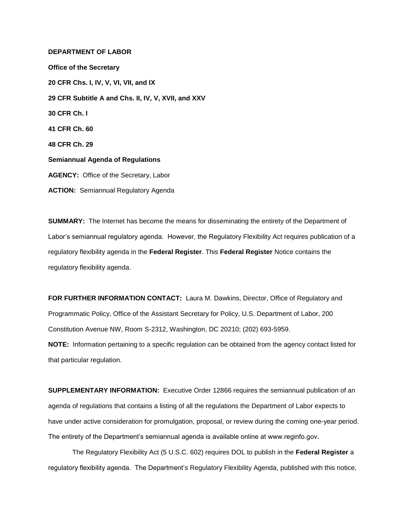## **DEPARTMENT OF LABOR**

**Office of the Secretary 20 CFR Chs. I, IV, V, VI, VII, and IX 29 CFR Subtitle A and Chs. II, IV, V, XVII, and XXV 30 CFR Ch. I 41 CFR Ch. 60 48 CFR Ch. 29 Semiannual Agenda of Regulations AGENCY:** Office of the Secretary, Labor **ACTION:** Semiannual Regulatory Agenda

**SUMMARY:** The Internet has become the means for disseminating the entirety of the Department of Labor's semiannual regulatory agenda. However, the Regulatory Flexibility Act requires publication of a regulatory flexibility agenda in the **Federal Register**. This **Federal Register** Notice contains the regulatory flexibility agenda.

**FOR FURTHER INFORMATION CONTACT:** Laura M. Dawkins, Director, Office of Regulatory and Programmatic Policy, Office of the Assistant Secretary for Policy, U.S. Department of Labor, 200 Constitution Avenue NW, Room S-2312, Washington, DC 20210; (202) 693-5959. **NOTE:** Information pertaining to a specific regulation can be obtained from the agency contact listed for that particular regulation.

**SUPPLEMENTARY INFORMATION:** Executive Order 12866 requires the semiannual publication of an agenda of regulations that contains a listing of all the regulations the Department of Labor expects to have under active consideration for promulgation, proposal, or review during the coming one-year period. The entirety of the Department's semiannual agenda is available online at www.reginfo.gov.

The Regulatory Flexibility Act (5 U.S.C. 602) requires DOL to publish in the **Federal Register** a regulatory flexibility agenda. The Department's Regulatory Flexibility Agenda, published with this notice,